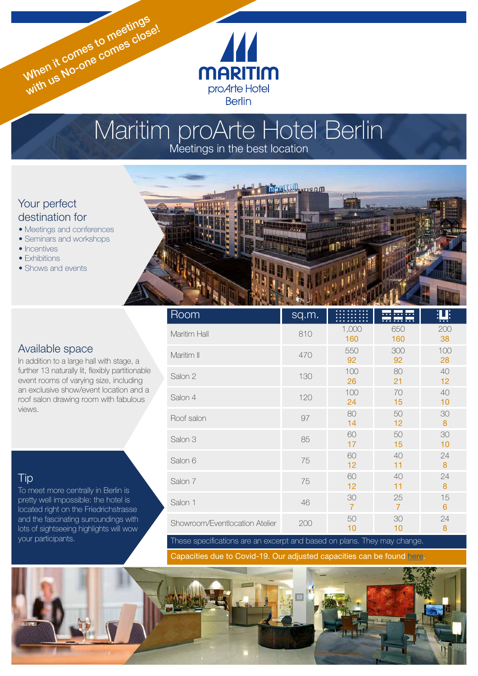# Maritim proArte Hotel Berlin Meetings in the best location

 $\sqrt{2}$ 

**MARITIM** proArte Hotel **Berlin** 

# Your perfect destination for

• Meetings and conferences

When it comes to meetings When it comes to meetinge!

- Seminars and workshops
- Incentives
- Exhibitions
- Shows and events

## Available space

In addition to a large hall with stage, a further 13 naturally lit, flexibly partitionable event rooms of varying size, including an exclusive show/event location and a roof salon drawing room with fabulous views.

# **Tip**

To meet more centrally in Berlin is pretty well impossible: the hotel is located right on the Friedrichstrasse and the fascinating surroundings with lots of sightseeing highlights will wow your participants.



| Room                           | sq.m. |                      | .<br><del>.</del> | <u>iti:</u>            |
|--------------------------------|-------|----------------------|-------------------|------------------------|
| Maritim Hall                   | 810   | 1,000<br>160         | 650<br>160        | 200<br>38              |
| Maritim II                     | 470   | 550<br>92            | 300<br>92         | 100<br>28              |
| Salon 2                        | 130   | 100<br>26            | 80<br>21          | 40<br>12               |
| Salon 4                        | 120   | 100<br>24            | 70<br>15          | 40<br>10               |
| Roof salon                     | 97    | 80<br>14             | 50<br>12          | 30<br>8                |
| Salon 3                        | 85    | 60<br>17             | 50<br>15          | 30<br>10               |
| Salon 6                        | 75    | 60<br>12             | 40<br>11          | 24<br>$\boldsymbol{8}$ |
| Salon 7                        | 75    | 60<br>12             | 40<br>11          | 24<br>8                |
| Salon 1                        | 46    | 30<br>$\overline{7}$ | 25<br>7           | 15<br>6                |
| Showroom/Eventlocation Atelier | 200   | 50<br>10             | 30<br>10          | 24<br>8                |

These specifications are an excerpt and based on plans. They may change.

Capacities due to Covid-19. Our adjusted capacities can be found [here](https://www.maritim.de/fileadmin/user_upload/Allgemein/Prospekte/Tagungsplaner.pdf).